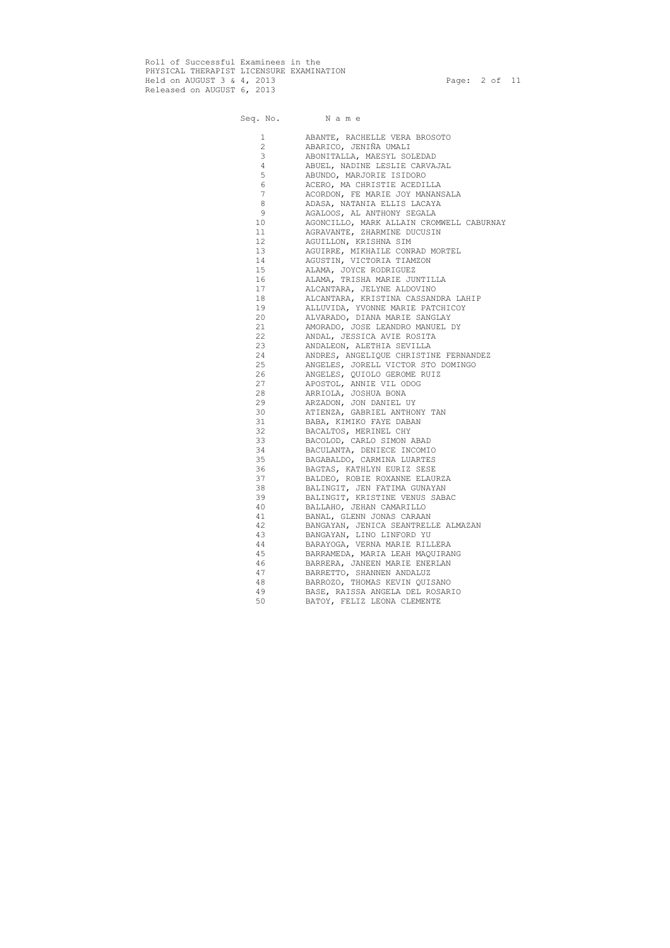Roll of Successful Examinees in the PHYSICAL THERAPIST LICENSURE EXAMINATION Held on AUGUST 3 & 4, 2013 Page: 2 of 11 Released on AUGUST 6, 2013

| 1               | ABANTE, RACHELLE VERA BROSOTO            |
|-----------------|------------------------------------------|
| $\overline{2}$  | ABARICO, JENIÑA UMALI                    |
| 3               | ABONITALLA, MAESYL SOLEDAD               |
| 4               | ABUEL, NADINE LESLIE CARVAJAL            |
| 5               | ABUNDO, MARJORIE ISIDORO                 |
| 6               | ACERO, MA CHRISTIE ACEDILLA              |
| $\overline{7}$  | ACORDON, FE MARIE JOY MANANSALA          |
| $\,8\,$         | ADASA, NATANIA ELLIS LACAYA              |
| $\mathsf 9$     | AGALOOS, AL ANTHONY SEGALA               |
| 10 <sup>°</sup> | AGONCILLO, MARK ALLAIN CROMWELL CABURNAY |
| 11              | AGRAVANTE, ZHARMINE DUCUSIN              |
| 12 <sup>°</sup> | AGUILLON, KRISHNA SIM                    |
| 13              | AGUIRRE, MIKHAILE CONRAD MORTEL          |
| 14              |                                          |
|                 | AGUSTIN, VICTORIA TIAMZON                |
| 15              | ALAMA, JOYCE RODRIGUEZ                   |
| 16              | ALAMA, TRISHA MARIE JUNTILLA             |
| 17              | ALCANTARA, JELYNE ALDOVINO               |
| 18              | ALCANTARA, KRISTINA CASSANDRA LAHIP      |
| 19              | ALLUVIDA, YVONNE MARIE PATCHICOY         |
| 20              | ALVARADO, DIANA MARIE SANGLAY            |
| 21              | AMORADO, JOSE LEANDRO MANUEL DY          |
| 22              | ANDAL, JESSICA AVIE ROSITA               |
| 23              | ANDALEON, ALETHIA SEVILLA                |
| 24              | ANDRES, ANGELIQUE CHRISTINE FERNANDEZ    |
| 25              | ANGELES, JORELL VICTOR STO DOMINGO       |
| 26              | ANGELES, QUIOLO GEROME RUIZ              |
| 27              | APOSTOL, ANNIE VIL ODOG                  |
| 28              | ARRIOLA, JOSHUA BONA                     |
| 29              | ARZADON, JON DANIEL UY                   |
| 30              | ATIENZA, GABRIEL ANTHONY TAN             |
| 31              | BABA, KIMIKO FAYE DABAN                  |
| 32              | BACALTOS, MERINEL CHY                    |
| 33              | BACOLOD, CARLO SIMON ABAD                |
| 34              | BACULANTA, DENIECE INCOMIO               |
| 35              | BAGABALDO, CARMINA LUARTES               |
| 36              | BAGTAS, KATHLYN EURIZ SESE               |
| 37              | BALDEO, ROBIE ROXANNE ELAURZA            |
| 38              | BALINGIT, JEN FATIMA GUNAYAN             |
| 39              |                                          |
|                 | BALINGIT, KRISTINE VENUS SABAC           |
| 40              | BALLAHO, JEHAN CAMARILLO                 |
| 41              | BANAL, GLENN JONAS CARAAN                |
| 42              | BANGAYAN, JENICA SEANTRELLE ALMAZAN      |
| 43              | BANGAYAN, LINO LINFORD YU                |
| 44              | BARAYOGA, VERNA MARIE RILLERA            |
| 45              | BARRAMEDA, MARIA LEAH MAQUIRANG          |
| 46              | BARRERA, JANEEN MARIE ENERLAN            |
| 47              | BARRETTO, SHANNEN ANDALUZ                |
| 48              | BARROZO, THOMAS KEVIN QUISANO            |
| 49              | BASE, RAISSA ANGELA DEL ROSARIO          |
| 50              | BATOY, FELIZ LEONA CLEMENTE              |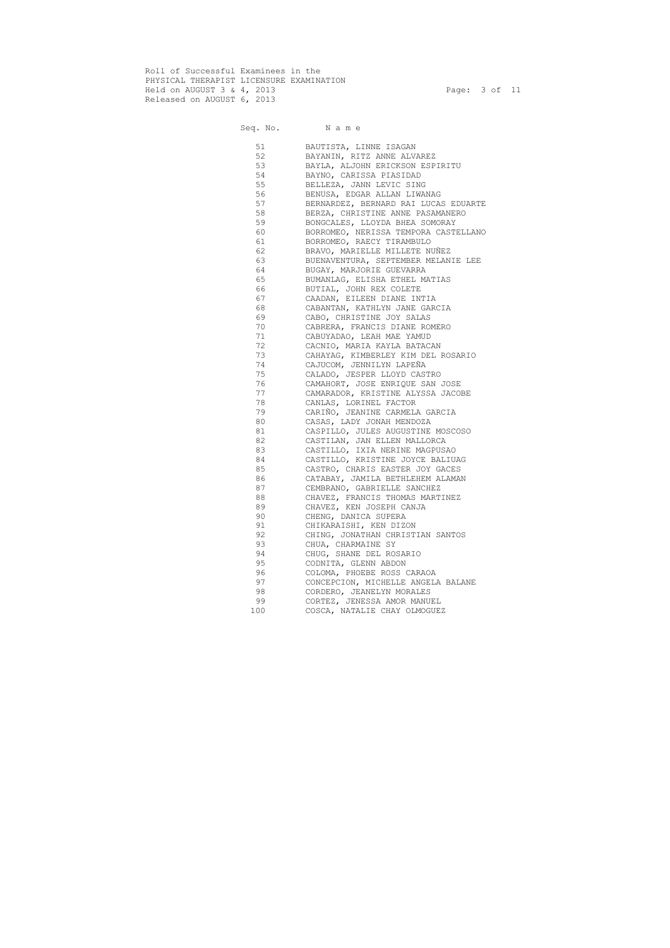Roll of Successful Examinees in the PHYSICAL THERAPIST LICENSURE EXAMINATION Held on AUGUST 3 & 4, 2013 Page: 3 of 11 Released on AUGUST 6, 2013

| 51  | BAUTISTA, LINNE ISAGAN               |
|-----|--------------------------------------|
| 52  | BAYANIN, RITZ ANNE ALVAREZ           |
| 53  | BAYLA, ALJOHN ERICKSON ESPIRITU      |
| 54  | BAYNO, CARISSA PIASIDAD              |
| 55  | BELLEZA, JANN LEVIC SING             |
| 56  | BENUSA, EDGAR ALLAN LIWANAG          |
| 57  | BERNARDEZ, BERNARD RAI LUCAS EDUARTE |
| 58  | BERZA, CHRISTINE ANNE PASAMANERO     |
| 59  | BONGCALES, LLOYDA BHEA SOMORAY       |
| 60  | BORROMEO, NERISSA TEMPORA CASTELLANO |
| 61  | BORROMEO, RAECY TIRAMBULO            |
| 62  | BRAVO, MARIELLE MILLETE NUÑEZ        |
| 63  | BUENAVENTURA, SEPTEMBER MELANIE LEE  |
| 64  | BUGAY, MARJORIE GUEVARRA             |
| 65  | BUMANLAG, ELISHA ETHEL MATIAS        |
| 66  | BUTIAL, JOHN REX COLETE              |
| 67  | CAADAN, EILEEN DIANE INTIA           |
| 68  | CABANTAN, KATHLYN JANE GARCIA        |
| 69  | CABO, CHRISTINE JOY SALAS            |
| 70  | CABRERA, FRANCIS DIANE ROMERO        |
| 71  | CABUYADAO, LEAH MAE YAMUD            |
| 72  | CACNIO, MARIA KAYLA BATACAN          |
| 73  | CAHAYAG, KIMBERLEY KIM DEL ROSARIO   |
| 74  | CAJUCOM, JENNILYN LAPEÑA             |
| 75  | CALADO, JESPER LLOYD CASTRO          |
| 76  | CAMAHORT, JOSE ENRIQUE SAN JOSE      |
| 77  | CAMARADOR, KRISTINE ALYSSA JACOBE    |
| 78  | CANLAS, LORINEL FACTOR               |
| 79  | CARIÑO, JEANINE CARMELA GARCIA       |
| 80  | CASAS, LADY JONAH MENDOZA            |
| 81  | CASPILLO, JULES AUGUSTINE MOSCOSO    |
| 82  | CASTILAN, JAN ELLEN MALLORCA         |
| 83  | CASTILLO, IXIA NERINE MAGPUSAO       |
| 84  | CASTILLO, KRISTINE JOYCE BALIUAG     |
| 85  | CASTRO, CHARIS EASTER JOY GACES      |
| 86  | CATABAY, JAMILA BETHLEHEM ALAMAN     |
| 87  | CEMBRANO, GABRIELLE SANCHEZ          |
| 88  | CHAVEZ, FRANCIS THOMAS MARTINEZ      |
| 89  | CHAVEZ, KEN JOSEPH CANJA             |
| 90  | CHENG, DANICA SUPERA                 |
| 91  |                                      |
| 92  | CHIKARAISHI, KEN DIZON               |
|     | CHING, JONATHAN CHRISTIAN SANTOS     |
| 93  | CHUA, CHARMAINE SY                   |
| 94  | CHUG, SHANE DEL ROSARIO              |
| 95  | CODNITA, GLENN ABDON                 |
| 96  | COLOMA, PHOEBE ROSS CARAOA           |
| 97  | CONCEPCION, MICHELLE ANGELA BALANE   |
| 98  | CORDERO, JEANELYN MORALES            |
| 99  | CORTEZ, JENESSA AMOR MANUEL          |
| 100 | COSCA, NATALIE CHAY OLMOGUEZ         |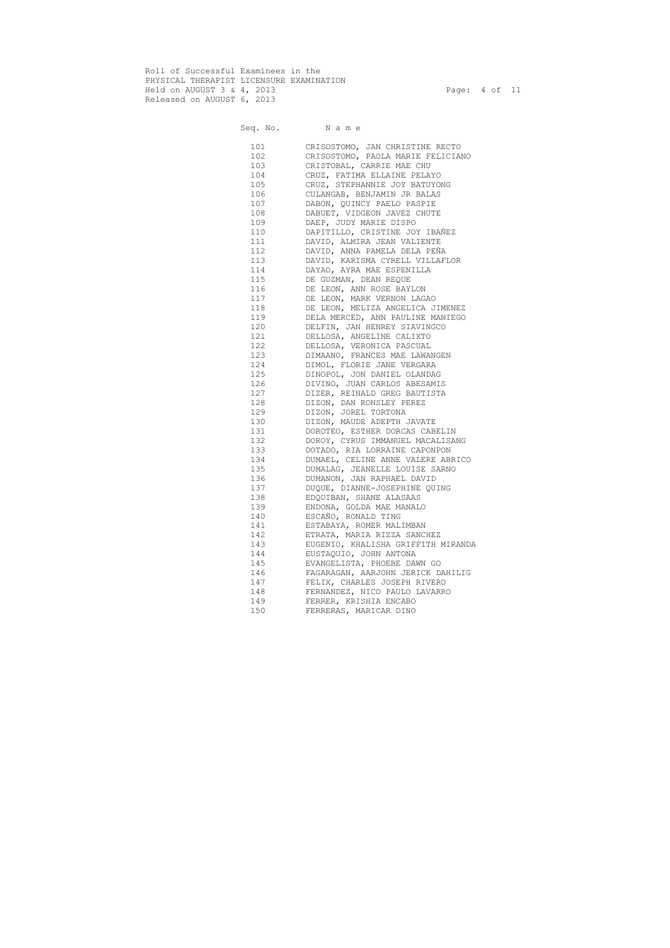Roll of Successful Examinees in the PHYSICAL THERAPIST LICENSURE EXAMINATION Held on AUGUST 3 & 4, 2013 Page: 4 of 11 Released on AUGUST 6, 2013

| 101 | CRISOSTOMO, JAN CHRISTINE RECTO    |
|-----|------------------------------------|
| 102 | CRISOSTOMO, PAOLA MARIE FELICIANO  |
| 103 | CRISTOBAL, CARRIE MAE CHU          |
| 104 | CRUZ, FATIMA ELLAINE PELAYO        |
| 105 | CRUZ, STEPHANNIE JOY BATUYONG      |
| 106 | CULANGAB, BENJAMIN JR BALAS        |
| 107 | DABON, QUINCY PAELO PASPIE         |
| 108 | DABUET, VIDGEON JAVEZ CHUTE        |
| 109 | DAEP, JUDY MARIE DISPO             |
| 110 | DAPITILLO, CRISTINE JOY IBAÑEZ     |
| 111 | DAVID, ALMIRA JEAN VALIENTE        |
| 112 | DAVID, ANNA PAMELA DELA PEÑA       |
| 113 | DAVID, KARISMA CYRELL VILLAFLOR    |
| 114 | DAYAO, AYRA MAE ESPENILLA          |
| 115 | DE GUZMAN, DEAN REQUE              |
| 116 | DE LEON, ANN ROSE BAYLON           |
| 117 | DE LEON, MARK VERNON LAGAO         |
| 118 | DE LEON, MELIZA ANGELICA JIMENEZ   |
| 119 | DELA MERCED, ANN PAULINE MANIEGO   |
| 120 | DELFIN, JAN HENREY SIAVINGCO       |
| 121 | DELLOSA, ANGELINE CALIXTO          |
| 122 | DELLOSA, VERONICA PASCUAL          |
| 123 | DIMAANO, FRANCES MAE LAWANGEN      |
| 124 | DIMOL, FLORIE JANE VERGARA         |
| 125 | DINOPOL, JON DANIEL OLANDAG        |
| 126 | DIVINO, JUAN CARLOS ABESAMIS       |
| 127 | DIZER, REINALD GREG BAUTISTA       |
| 128 | DIZON, DAN RONSLEY PEREZ           |
| 129 | DIZON, JOREL TORTONA               |
| 130 | DIZON, MAUDE ADEPTH JAVATE         |
| 131 | DOROTEO, ESTHER DORCAS CABELIN     |
| 132 | DOROY, CYRUS IMMANUEL MACALISANG   |
| 133 | DOTADO, RIA LORRAINE CAPONPON      |
| 134 | DUMAEL, CELINE ANNE VALERE ABRICO  |
| 135 | DUMALAG, JEANELLE LOUISE SARNO     |
| 136 | DUMANON, JAN RAPHAEL DAVID         |
| 137 | DUQUE, DIANNE-JOSEPHINE QUING      |
| 138 | EDQUIBAN, SHANE ALASAAS            |
| 139 | ENDONA, GOLDA MAE MANALO           |
| 140 | ESCAÑO, RONALD TING                |
| 141 | ESTABAYA, ROMER MALIMBAN           |
| 142 | ETRATA, MARIA RIZZA SANCHEZ        |
| 143 | EUGENIO, KHALISHA GRIFFITH MIRANDA |
| 144 | EUSTAQUIO, JOHN ANTONA             |
| 145 | EVANGELISTA, PHOEBE DAWN GO        |
| 146 | FAGARAGAN, AARJOHN JERICK DAHILIG  |
| 147 | FELIX, CHARLES JOSEPH RIVERO       |
| 148 | FERNANDEZ, NICO PAULO LAVARRO      |
| 149 | FERRER, KRISHIA ENCABO             |
| 150 | FERRERAS, MARICAR DINO             |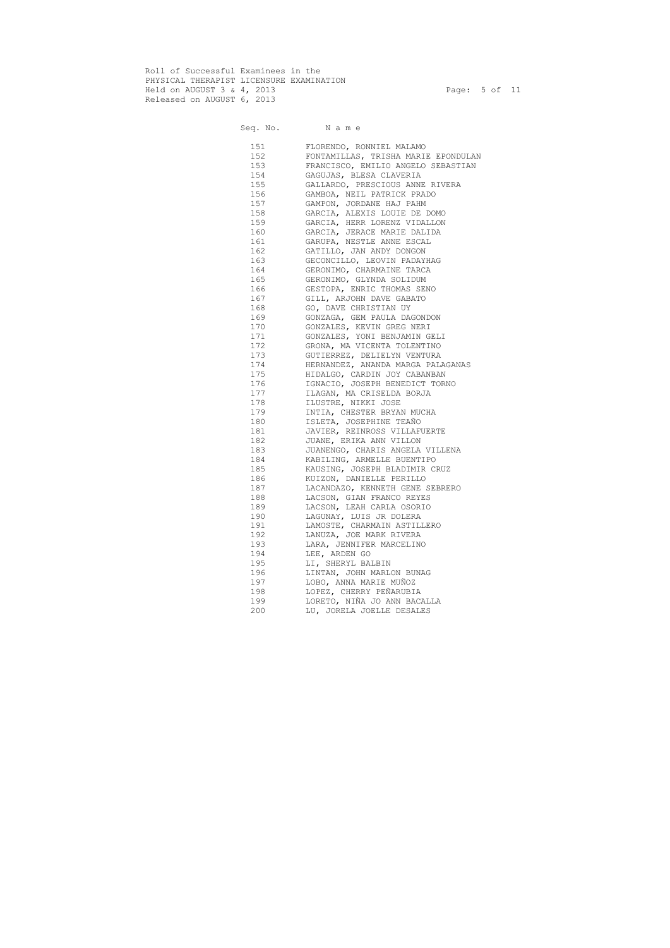Roll of Successful Examinees in the PHYSICAL THERAPIST LICENSURE EXAMINATION Held on AUGUST 3 & 4, 2013 Page: 5 of 11 Released on AUGUST 6, 2013

# Seq. No. Name 151 FLORENDO, RONNIEL MALAMO<br>152 FONTAMILLAS, TRISHA MARIE<br>153 FRANCISCO EMILIO ANGELO 152 FONTAMILLAS, TRISHA MARIE EPONDULAN

| 153 | FRANCISCO, EMILIO ANGELO SEBASTIAN |
|-----|------------------------------------|
| 154 | GAGUJAS, BLESA CLAVERIA            |
| 155 | GALLARDO, PRESCIOUS ANNE RIVERA    |
| 156 | GAMBOA, NEIL PATRICK PRADO         |
| 157 | GAMPON, JORDANE HAJ PAHM           |
| 158 | GARCIA, ALEXIS LOUIE DE DOMO       |
| 159 | GARCIA, HERR LORENZ VIDALLON       |
| 160 | GARCIA, JERACE MARIE DALIDA        |
| 161 | GARUPA, NESTLE ANNE ESCAL          |
| 162 | GATILLO, JAN ANDY DONGON           |
| 163 | GECONCILLO, LEOVIN PADAYHAG        |
| 164 | GERONIMO, CHARMAINE TARCA          |
| 165 | GERONIMO, GLYNDA SOLIDUM           |
| 166 | GESTOPA, ENRIC THOMAS SENO         |
| 167 | GILL, ARJOHN DAVE GABATO           |
| 168 | GO, DAVE CHRISTIAN UY              |
| 169 | GONZAGA, GEM PAULA DAGONDON        |
| 170 | GONZALES, KEVIN GREG NERI          |
| 171 | GONZALES, YONI BENJAMIN GELI       |
| 172 | GRONA, MA VICENTA TOLENTINO        |
| 173 | GUTIERREZ, DELIELYN VENTURA        |
| 174 | HERNANDEZ, ANANDA MARGA PALAGANAS  |
| 175 |                                    |
| 176 | HIDALGO, CARDIN JOY CABANBAN       |
|     | IGNACIO, JOSEPH BENEDICT TORNO     |
| 177 | ILAGAN, MA CRISELDA BORJA          |
| 178 | ILUSTRE, NIKKI JOSE                |
| 179 | INTIA, CHESTER BRYAN MUCHA         |
| 180 | ISLETA, JOSEPHINE TEAÑO            |
| 181 | JAVIER, REINROSS VILLAFUERTE       |
| 182 | JUANE, ERIKA ANN VILLON            |
| 183 | JUANENGO, CHARIS ANGELA VILLENA    |
| 184 | KABILING, ARMELLE BUENTIPO         |
| 185 | KAUSING, JOSEPH BLADIMIR CRUZ      |
| 186 | KUIZON, DANIELLE PERILLO           |
| 187 | LACANDAZO, KENNETH GENE SEBRERO    |
| 188 | LACSON, GIAN FRANCO REYES          |
| 189 | LACSON, LEAH CARLA OSORIO          |
| 190 | LAGUNAY, LUIS JR DOLERA            |
| 191 | LAMOSTE, CHARMAIN ASTILLERO        |
| 192 | LANUZA, JOE MARK RIVERA            |
| 193 | LARA, JENNIFER MARCELINO           |
| 194 | LEE, ARDEN GO                      |
| 195 | LI, SHERYL BALBIN                  |
| 196 | LINTAN, JOHN MARLON BUNAG          |
| 197 | LOBO, ANNA MARIE MUÑOZ             |
| 198 | LOPEZ, CHERRY PEÑARUBIA            |
| 199 | LORETO, NIÑA JO ANN BACALLA        |
| 200 | LU, JORELA JOELLE DESALES          |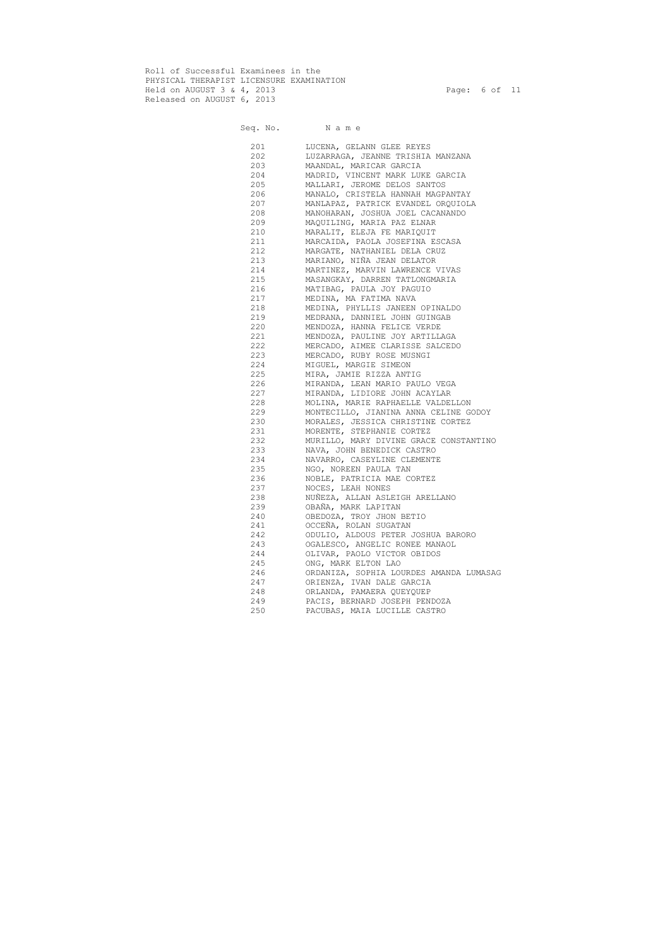Roll of Successful Examinees in the PHYSICAL THERAPIST LICENSURE EXAMINATION Held on AUGUST 3 & 4, 2013 Page: 6 of 11 Released on AUGUST 6, 2013

| 201 | LUCENA, GELANN GLEE REYES               |
|-----|-----------------------------------------|
| 202 | LUZARRAGA, JEANNE TRISHIA MANZANA       |
| 203 | MAANDAL, MARICAR GARCIA                 |
| 204 | MADRID, VINCENT MARK LUKE GARCIA        |
| 205 | MALLARI, JEROME DELOS SANTOS            |
| 206 | MANALO, CRISTELA HANNAH MAGPANTAY       |
| 207 | MANLAPAZ, PATRICK EVANDEL ORQUIOLA      |
| 208 | MANOHARAN, JOSHUA JOEL CACANANDO        |
| 209 | MAQUILING, MARIA PAZ ELNAR              |
| 210 | MARALIT, ELEJA FE MARIQUIT              |
| 211 | MARCAIDA, PAOLA JOSEFINA ESCASA         |
| 212 | MARGATE, NATHANIEL DELA CRUZ            |
| 213 | MARIANO, NIÑA JEAN DELATOR              |
| 214 | MARTINEZ, MARVIN LAWRENCE VIVAS         |
| 215 | MASANGKAY, DARREN TATLONGMARIA          |
| 216 | MATIBAG, PAULA JOY PAGUIO               |
| 217 |                                         |
|     | MEDINA, MA FATIMA NAVA                  |
| 218 | MEDINA, PHYLLIS JANEEN OPINALDO         |
| 219 | MEDRANA, DANNIEL JOHN GUINGAB           |
| 220 | MENDOZA, HANNA FELICE VERDE             |
| 221 | MENDOZA, PAULINE JOY ARTILLAGA          |
| 222 | MERCADO, AIMEE CLARISSE SALCEDO         |
| 223 | MERCADO, RUBY ROSE MUSNGI               |
| 224 | MIGUEL, MARGIE SIMEON                   |
| 225 | MIRA, JAMIE RIZZA ANTIG                 |
| 226 | MIRANDA, LEAN MARIO PAULO VEGA          |
| 227 | MIRANDA, LIDIORE JOHN ACAYLAR           |
| 228 | MOLINA, MARIE RAPHAELLE VALDELLON       |
| 229 | MONTECILLO, JIANINA ANNA CELINE GODOY   |
| 230 | MORALES, JESSICA CHRISTINE CORTEZ       |
| 231 | MORENTE, STEPHANIE CORTEZ               |
| 232 | MURILLO, MARY DIVINE GRACE CONSTANTINO  |
| 233 | NAVA, JOHN BENEDICK CASTRO              |
| 234 | NAVARRO, CASEYLINE CLEMENTE             |
| 235 | NGO, NOREEN PAULA TAN                   |
| 236 | NOBLE, PATRICIA MAE CORTEZ              |
| 237 | NOCES, LEAH NONES                       |
| 238 | NUÑEZA, ALLAN ASLEIGH ARELLANO          |
| 239 | OBAÑA, MARK LAPITAN                     |
| 240 | OBEDOZA, TROY JHON BETIO                |
| 241 | OCCEÑA, ROLAN SUGATAN                   |
| 242 | ODULIO, ALDOUS PETER JOSHUA BARORO      |
| 243 | OGALESCO, ANGELIC RONEE MANAOL          |
| 244 | OLIVAR, PAOLO VICTOR OBIDOS             |
| 245 | ONG, MARK ELTON LAO                     |
| 246 | ORDANIZA, SOPHIA LOURDES AMANDA LUMASAG |
| 247 | ORIENZA, IVAN DALE GARCIA               |
| 248 | ORLANDA, PAMAERA QUEYQUEP               |
| 249 | PACIS, BERNARD JOSEPH PENDOZA           |
| 250 | PACUBAS, MAIA LUCILLE CASTRO            |
|     |                                         |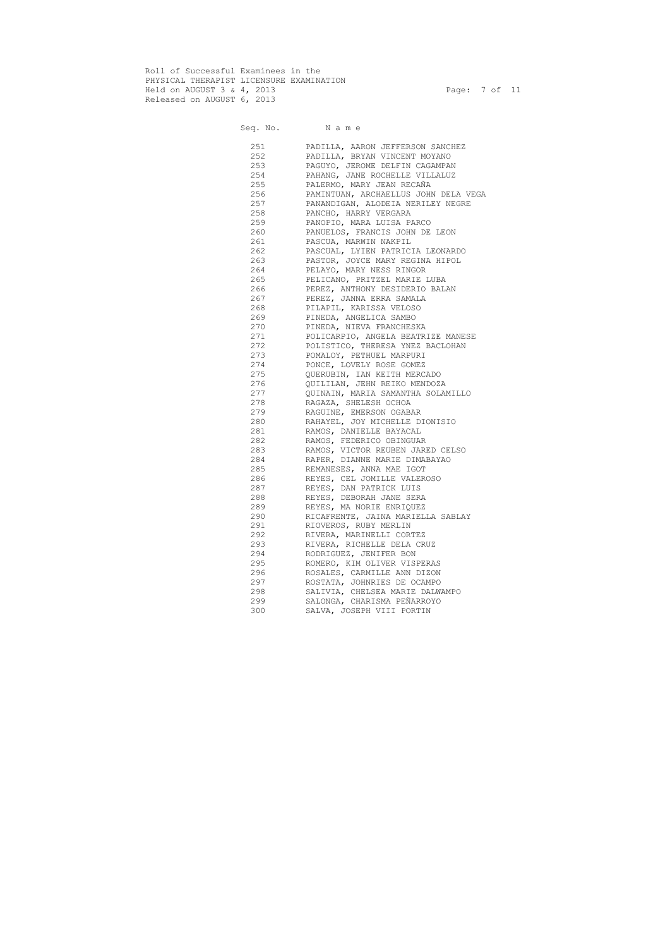Roll of Successful Examinees in the PHYSICAL THERAPIST LICENSURE EXAMINATION Held on AUGUST 3 & 4, 2013 Page: 7 of 11 Released on AUGUST 6, 2013

#### Seq. No. Name 251 PADILLA, AARON JEFFERSON SANCHEZ 252 PADILLA, BRYAN VINCENT MOYANO<br>253 PAGUYO, JEROME DELFIN CAGAMPAI PAGUYO, JEROME DELFIN CAGAMPAN 254 PAHANG, JANE ROCHELLE VILLALUZ 255 PALERMO, MARY JEAN RECAÑA 256 PAMINTUAN, ARCHAELLUS JOHN DELA VEGA 257 PANANDIGAN, ALODEIA NERILEY NEGRE 258 PANCHO, HARRY VERGARA 259 PANOPIO, MARA LUISA PARCO 260 PANUELOS, FRANCIS JOHN DE LEON 261 PASCUA, MARWIN NAKPIL 262 PASCUAL, LYIEN PATRICIA LEONARDO 263 PASTOR, JOYCE MARY REGINA HIPOL 264 PELAYO, MARY NESS RINGOR 265 PELICANO, PRITZEL MARIE LUBA 266 PEREZ, ANTHONY DESIDERIO BALAN 267 PEREZ, JANNA ERRA SAMALA 268 PILAPIL, KARISSA VELOSO 269 PINEDA, ANGELICA SAMBO 270 PINEDA, NIEVA FRANCHESKA 271 POLICARPIO, ANGELA BEATRIZE MANESE 272 POLISTICO, THERESA YNEZ BACLOHAN 273 POMALOY, PETHUEL MARPURI 274 PONCE, LOVELY ROSE GOMEZ 275 QUERUBIN, IAN KEITH MERCADO 276 QUILILAN, JEHN REIKO MENDOZA 277 QUINAIN, MARIA SAMANTHA SOLAMILLO 278 RAGAZA, SHELESH OCHOA 279 RAGUINE, EMERSON OGABAR 280 RAHAYEL, JOY MICHELLE DIONISIO 281 RAMOS, DANIELLE BAYACAL 282 RAMOS, FEDERICO OBINGUAR 283 RAMOS, VICTOR REUBEN JARED CELSO 284 RAPER, DIANNE MARIE DIMABAYAO 285 REMANESES, ANNA MAE IGOT 286 REYES, CEL JOMILLE VALEROSO 287 REYES, DAN PATRICK LUIS 288 REYES, DEBORAH JANE SERA 289 REYES, MA NORIE ENRIQUEZ 290 RICAFRENTE, JAINA MARIELLA SABLAY 291 RIOVEROS, RUBY MERLIN 292 RIVERA, MARINELLI CORTEZ 293 RIVERA, RICHELLE DELA CRUZ 294 RODRIGUEZ, JENIFER BON 295 ROMERO, KIM OLIVER VISPERAS 296 ROSALES, CARMILLE ANN DIZON 297 ROSTATA, JOHNRIES DE OCAMPO 298 SALIVIA, CHELSEA MARIE DALWAMPO 299 SALONGA, CHARISMA PEÑARROYO 300 SALVA, JOSEPH VIII PORTIN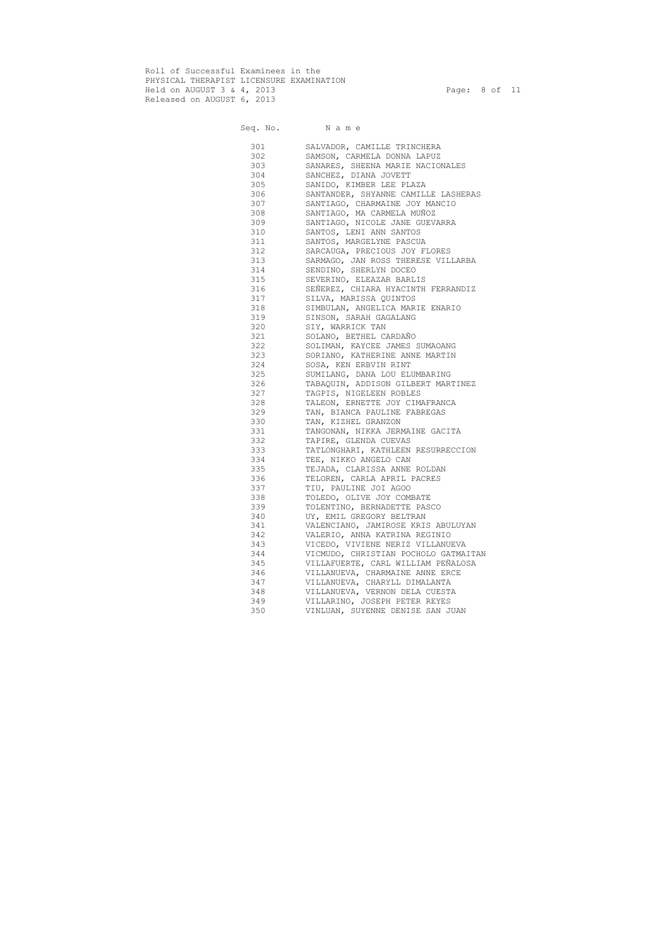Roll of Successful Examinees in the PHYSICAL THERAPIST LICENSURE EXAMINATION Held on AUGUST 3 & 4, 2013 Page: 8 of 11 Released on AUGUST 6, 2013

| 301 | SALVADOR, CAMILLE TRINCHERA          |
|-----|--------------------------------------|
| 302 | SAMSON, CARMELA DONNA LAPUZ          |
| 303 | SANARES, SHEENA MARIE NACIONALES     |
| 304 | SANCHEZ, DIANA JOVETT                |
| 305 | SANIDO, KIMBER LEE PLAZA             |
| 306 | SANTANDER, SHYANNE CAMILLE LASHERAS  |
| 307 | SANTIAGO, CHARMAINE JOY MANCIO       |
| 308 | SANTIAGO, MA CARMELA MUÑOZ           |
| 309 | SANTIAGO, NICOLE JANE GUEVARRA       |
| 310 | SANTOS, LENI ANN SANTOS              |
| 311 | SANTOS, MARGELYNE PASCUA             |
| 312 | SARCAUGA, PRECIOUS JOY FLORES        |
| 313 | SARMAGO, JAN ROSS THERESE VILLARBA   |
| 314 | SENDINO, SHERLYN DOCEO               |
| 315 | SEVERINO, ELEAZAR BARLIS             |
| 316 | SEÑEREZ, CHIARA HYACINTH FERRANDIZ   |
| 317 | SILVA, MARISSA QUINTOS               |
| 318 | SIMBULAN, ANGELICA MARIE ENARIO      |
| 319 | SINSON, SARAH GAGALANG               |
| 320 | SIY, WARRICK TAN                     |
| 321 | SOLANO, BETHEL CARDAÑO               |
| 322 | SOLIMAN, KAYCEE JAMES SUMAOANG       |
| 323 |                                      |
| 324 | SORIANO, KATHERINE ANNE MARTIN       |
| 325 | SOSA, KEN ERBVIN RINT                |
|     | SUMILANG, DANA LOU ELUMBARING        |
| 326 | TABAQUIN, ADDISON GILBERT MARTINEZ   |
| 327 | TAGPIS, NIGELEEN ROBLES              |
| 328 | TALEON, ERNETTE JOY CIMAFRANCA       |
| 329 | TAN, BIANCA PAULINE FABREGAS         |
| 330 | TAN, KIZHEL GRANZON                  |
| 331 | TANGONAN, NIKKA JERMAINE GACITA      |
| 332 | TAPIRE, GLENDA CUEVAS                |
| 333 | TATLONGHARI, KATHLEEN RESURRECCION   |
| 334 | TEE, NIKKO ANGELO CAN                |
| 335 | TEJADA, CLARISSA ANNE ROLDAN         |
| 336 | TELOREN, CARLA APRIL PACRES          |
| 337 | TIU, PAULINE JOI AGOO                |
| 338 | TOLEDO, OLIVE JOY COMBATE            |
| 339 | TOLENTINO, BERNADETTE PASCO          |
| 340 | UY, EMIL GREGORY BELTRAN             |
| 341 | VALENCIANO, JAMIROSE KRIS ABULUYAN   |
| 342 | VALERIO, ANNA KATRINA REGINIO        |
| 343 | VICEDO, VIVIENE NERIZ VILLANUEVA     |
| 344 | VICMUDO, CHRISTIAN POCHOLO GATMAITAN |
| 345 | VILLAFUERTE, CARL WILLIAM PEÑALOSA   |
| 346 | VILLANUEVA, CHARMAINE ANNE ERCE      |
| 347 | VILLANUEVA, CHARYLL DIMALANTA        |
| 348 | VILLANUEVA, VERNON DELA CUESTA       |
| 349 | VILLARINO, JOSEPH PETER REYES        |
| 350 | VINLUAN, SUYENNE DENISE SAN JUAN     |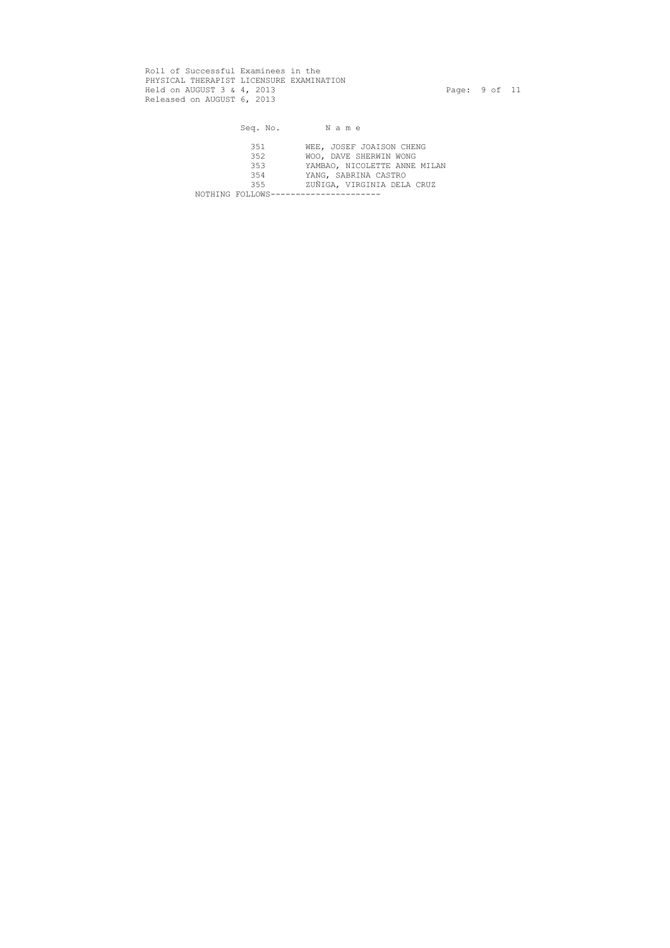Roll of Successful Examinees in the PHYSICAL THERAPIST LICENSURE EXAMINATION Held on AUGUST 3 & 4, 2013 Page: 9 of 11 Released on AUGUST 6, 2013

Seq. No. Name 351 WEE, JOSEF JOAISON CHENG 352 WOO, DAVE SHERWIN WONG 353 YAMBAO, NICOLETTE ANNE MILAN<br>354 YANG, SABRINA CASTRO 354 YANG, SABRINA CASTRO<br>355 ZUÑIGA, VIRGINIA DELA ZUÑIGA, VIRGINIA DELA CRUZ NOTHING FOLLOWS-----------------------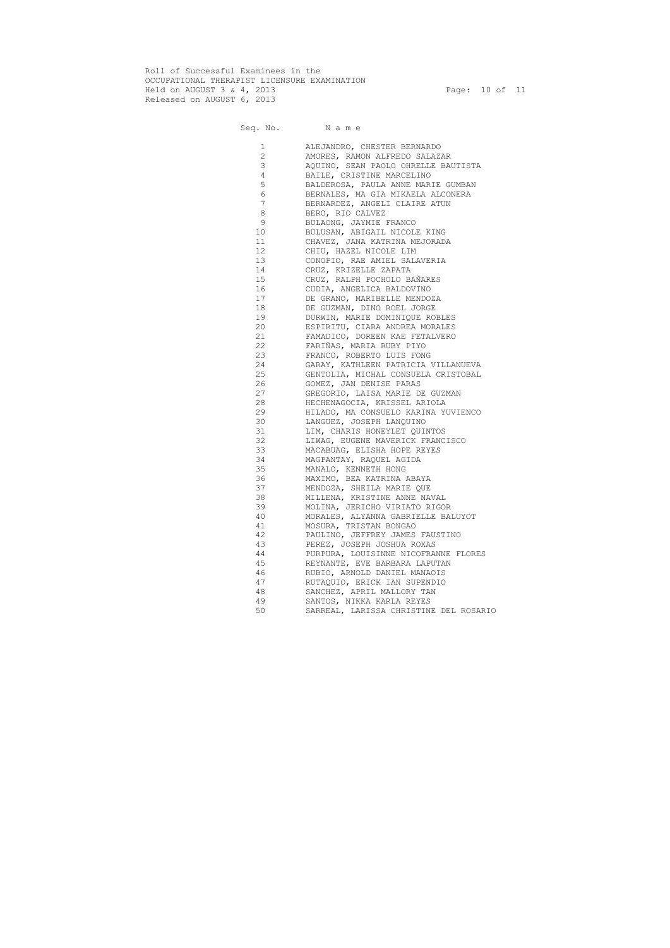Roll of Successful Examinees in the OCCUPATIONAL THERAPIST LICENSURE EXAMINATION Held on AUGUST 3 & 4, 2013 Page: 10 of 11 Released on AUGUST 6, 2013

| $\mathbf 1$    | ALEJANDRO, CHESTER BERNARDO            |
|----------------|----------------------------------------|
| $\mathbf{2}$   | AMORES, RAMON ALFREDO SALAZAR          |
| 3              | AQUINO, SEAN PAOLO OHRELLE BAUTISTA    |
| 4              | BAILE, CRISTINE MARCELINO              |
| 5              | BALDEROSA, PAULA ANNE MARIE GUMBAN     |
| 6              | BERNALES, MA GIA MIKAELA ALCONERA      |
| $\overline{7}$ | BERNARDEZ, ANGELI CLAIRE ATUN          |
| $\,8\,$        | BERO, RIO CALVEZ                       |
| $\mathsf 9$    | BULAONG, JAYMIE FRANCO                 |
| 10             | BULUSAN, ABIGAIL NICOLE KING           |
| 11             | CHAVEZ, JANA KATRINA MEJORADA          |
| 12             | CHIU, HAZEL NICOLE LIM                 |
| 13             | CONOPIO, RAE AMIEL SALAVERIA           |
| 14             | CRUZ, KRIZELLE ZAPATA                  |
| 15             | CRUZ, RALPH POCHOLO BAÑARES            |
| 16             | CUDIA, ANGELICA BALDOVINO              |
| 17             | DE GRANO, MARIBELLE MENDOZA            |
| 18             | DE GUZMAN, DINO ROEL JORGE             |
| 19             | DURWIN, MARIE DOMINIQUE ROBLES         |
| 20             | ESPIRITU, CIARA ANDREA MORALES         |
| 21             | FAMADICO, DOREEN KAE FETALVERO         |
| 22             | FARIÑAS, MARIA RUBY PIYO               |
| 23             | FRANCO, ROBERTO LUIS FONG              |
| 24             | GARAY, KATHLEEN PATRICIA VILLANUEVA    |
| 25             | GENTOLIA, MICHAL CONSUELA CRISTOBAL    |
| 26             | GOMEZ, JAN DENISE PARAS                |
| 27             | GREGORIO, LAISA MARIE DE GUZMAN        |
| 28             | HECHENAGOCIA, KRISSEL ARIOLA           |
| 29             | HILADO, MA CONSUELO KARINA YUVIENCO    |
| 30             | LANGUEZ, JOSEPH LANQUINO               |
| 31             | LIM, CHARIS HONEYLET QUINTOS           |
| 32             | LIWAG, EUGENE MAVERICK FRANCISCO       |
| 33             | MACABUAG, ELISHA HOPE REYES            |
| 34             | MAGPANTAY, RAQUEL AGIDA                |
| 35             | MANALO, KENNETH HONG                   |
| 36             | MAXIMO, BEA KATRINA ABAYA              |
| 37             | MENDOZA, SHEILA MARIE QUE              |
| 38             | MILLENA, KRISTINE ANNE NAVAL           |
| 39             | MOLINA, JERICHO VIRIATO RIGOR          |
| 40             | MORALES, ALYANNA GABRIELLE BALUYOT     |
| 41             | MOSURA, TRISTAN BONGAO                 |
| 42             | PAULINO, JEFFREY JAMES FAUSTINO        |
| 43             | PEREZ, JOSEPH JOSHUA ROXAS             |
| 44             | PURPURA, LOUISINNE NICOFRANNE FLORES   |
| 45             | REYNANTE, EVE BARBARA LAPUTAN          |
| 46             | RUBIO, ARNOLD DANIEL MANAOIS           |
| 47             | RUTAQUIO, ERICK IAN SUPENDIO           |
| 48             | SANCHEZ, APRIL MALLORY TAN             |
| 49             | SANTOS, NIKKA KARLA REYES              |
| 50             | SARREAL, LARISSA CHRISTINE DEL ROSARIO |
|                |                                        |